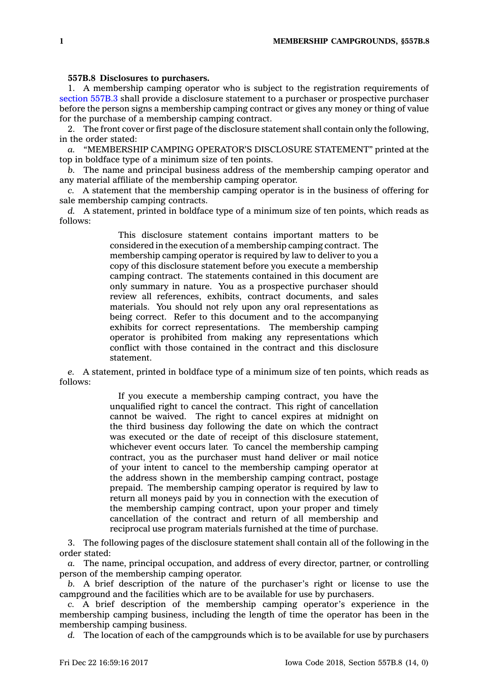## **557B.8 Disclosures to purchasers.**

1. A membership camping operator who is subject to the registration requirements of [section](https://www.legis.iowa.gov/docs/code/557B.3.pdf) 557B.3 shall provide <sup>a</sup> disclosure statement to <sup>a</sup> purchaser or prospective purchaser before the person signs <sup>a</sup> membership camping contract or gives any money or thing of value for the purchase of <sup>a</sup> membership camping contract.

2. The front cover or first page of the disclosure statement shall contain only the following, in the order stated:

*a.* "MEMBERSHIP CAMPING OPERATOR'S DISCLOSURE STATEMENT" printed at the top in boldface type of <sup>a</sup> minimum size of ten points.

*b.* The name and principal business address of the membership camping operator and any material affiliate of the membership camping operator.

*c.* A statement that the membership camping operator is in the business of offering for sale membership camping contracts.

*d.* A statement, printed in boldface type of <sup>a</sup> minimum size of ten points, which reads as follows:

> This disclosure statement contains important matters to be considered in the execution of <sup>a</sup> membership camping contract. The membership camping operator is required by law to deliver to you <sup>a</sup> copy of this disclosure statement before you execute <sup>a</sup> membership camping contract. The statements contained in this document are only summary in nature. You as <sup>a</sup> prospective purchaser should review all references, exhibits, contract documents, and sales materials. You should not rely upon any oral representations as being correct. Refer to this document and to the accompanying exhibits for correct representations. The membership camping operator is prohibited from making any representations which conflict with those contained in the contract and this disclosure statement.

*e.* A statement, printed in boldface type of <sup>a</sup> minimum size of ten points, which reads as follows:

> If you execute <sup>a</sup> membership camping contract, you have the unqualified right to cancel the contract. This right of cancellation cannot be waived. The right to cancel expires at midnight on the third business day following the date on which the contract was executed or the date of receipt of this disclosure statement, whichever event occurs later. To cancel the membership camping contract, you as the purchaser must hand deliver or mail notice of your intent to cancel to the membership camping operator at the address shown in the membership camping contract, postage prepaid. The membership camping operator is required by law to return all moneys paid by you in connection with the execution of the membership camping contract, upon your proper and timely cancellation of the contract and return of all membership and reciprocal use program materials furnished at the time of purchase.

3. The following pages of the disclosure statement shall contain all of the following in the order stated:

*a.* The name, principal occupation, and address of every director, partner, or controlling person of the membership camping operator.

*b.* A brief description of the nature of the purchaser's right or license to use the campground and the facilities which are to be available for use by purchasers.

*c.* A brief description of the membership camping operator's experience in the membership camping business, including the length of time the operator has been in the membership camping business.

*d.* The location of each of the campgrounds which is to be available for use by purchasers